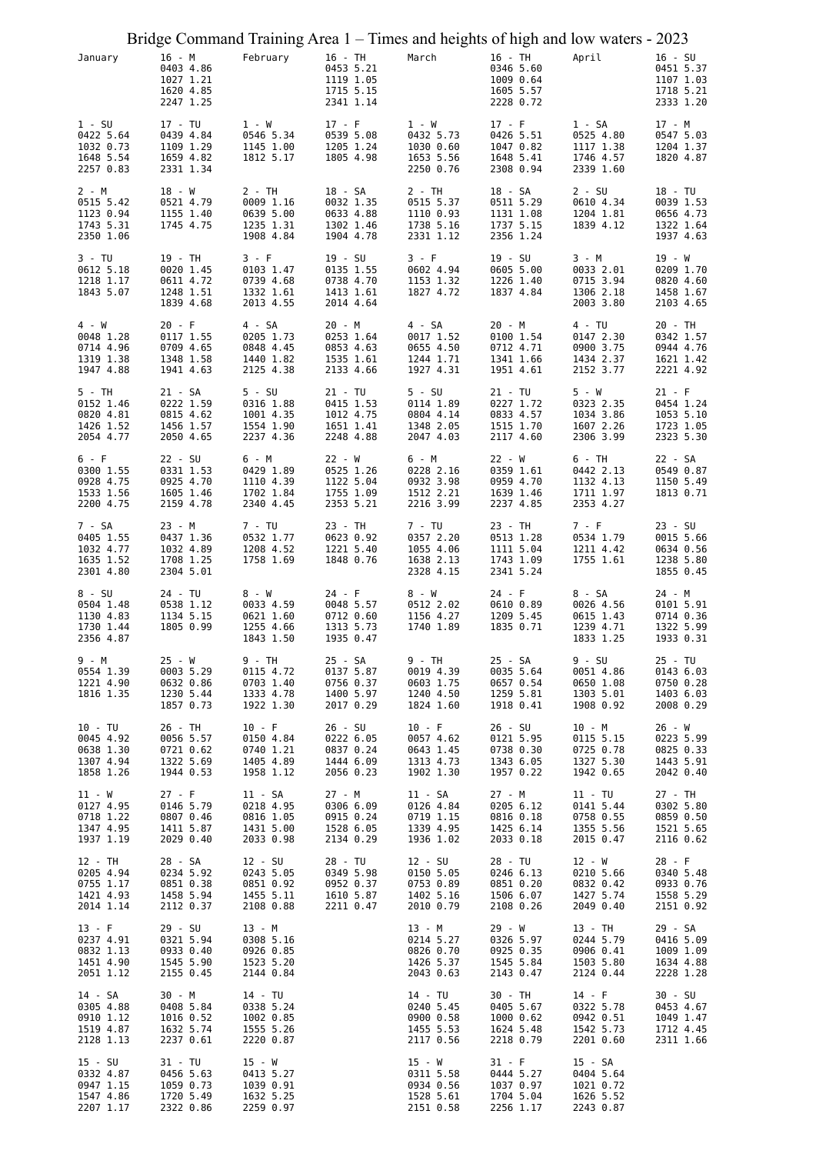|                                                              | Bridge Command Training Area 1 - Times and heights of high and low waters - 2023 |                                                               |                                                               |                                                              |                                                              |                                                             |                                                               |
|--------------------------------------------------------------|----------------------------------------------------------------------------------|---------------------------------------------------------------|---------------------------------------------------------------|--------------------------------------------------------------|--------------------------------------------------------------|-------------------------------------------------------------|---------------------------------------------------------------|
| January                                                      | 16 - M<br>0403 4.86<br>1027 1.21<br>1620 4.85<br>2247 1.25                       | February                                                      | 16 - TH<br>0453 5.21<br>1119 1.05<br>1715 5.15<br>2341 1.14   | March                                                        | 16 - TH<br>0346 5.60<br>1009 0.64<br>1605 5.57<br>2228 0.72  | April                                                       | $16 - SU$<br>0451 5.37<br>1107 1.03<br>1718 5.21<br>2333 1.20 |
| $1 - SU$<br>0422 5.64<br>1032 0.73<br>1648 5.54<br>2257 0.83 | 17 - TU<br>0439 4.84<br>1109 1.29<br>1659 4.82<br>2331 1.34                      | $1 - W$<br>0546 5.34<br>1145 1.00<br>1812 5.17                | $17 - F$<br>0539 5.08<br>1205 1.24<br>1805 4.98               | 1 - W<br>0432 5.73<br>1030 0.60<br>1653 5.56<br>2250 0.76    | $17 - F$<br>0426 5.51<br>1047 0.82<br>1648 5.41<br>2308 0.94 | 1 - SA<br>0525 4.80<br>1117 1.38<br>1746 4.57<br>2339 1.60  | 17 - M<br>0547 5.03<br>1204 1.37<br>1820 4.87                 |
| 2 - M<br>0515 5.42<br>1123 0.94<br>1743 5.31<br>2350 1.06    | 18 - W<br>0521 4.79<br>1155 1.40<br>1745 4.75                                    | $2 - TH$<br>0009 1.16<br>0639 5.00<br>1235 1.31<br>1908 4.84  | 18 - SA<br>0032 1.35<br>0633 4.88<br>1302 1.46<br>1904 4.78   | $2 - TH$<br>0515 5.37<br>1110 0.93<br>1738 5.16<br>2331 1.12 | 18 - SA<br>0511 5.29<br>1131 1.08<br>1737 5.15<br>2356 1.24  | $2 - SU$<br>0610 4.34<br>1204 1.81<br>1839 4.12             | 18 - TU<br>0039 1.53<br>0656 4.73<br>1322 1.64<br>1937 4.63   |
| 3 - TU<br>0612 5.18<br>1218 1.17<br>1843 5.07                | 19 - TH<br>0020 1.45<br>0611 4.72<br>1248 1.51<br>1839 4.68                      | 3 - F<br>0103 1.47<br>0739 4.68<br>1332 1.61<br>2013 4.55     | 19 - SU<br>0135 1.55<br>0738 4.70<br>1413 1.61<br>2014 4.64   | 3 - F<br>0602 4.94<br>1153 1.32<br>1827 4.72                 | 19 - SU<br>0605 5.00<br>1226 1.40<br>1837 4.84               | 3 - M<br>0033 2.01<br>0715 3.94<br>1306 2.18<br>2003 3.80   | 19 - W<br>0209 1.70<br>0820 4.60<br>1458 1.67<br>2103 4.65    |
| 4 - W<br>0048 1.28<br>0714 4.96<br>1319 1.38<br>1947 4.88    | $20 - F$<br>0117 1.55<br>0709 4.65<br>1348 1.58<br>1941 4.63                     | 4 - SA<br>0205 1.73<br>0848 4.45<br>1440 1.82<br>2125 4.38    | 20 - M<br>0253 1.64<br>0853 4.63<br>1535 1.61<br>2133 4.66    | 4 - SA<br>0017 1.52<br>0655 4.50<br>1244 1.71<br>1927 4.31   | 20 - M<br>0100 1.54<br>0712 4.71<br>1341 1.66<br>1951 4.61   | 4 - TU<br>0147 2.30<br>0900 3.75<br>1434 2.37<br>2152 3.77  | 20 - TH<br>0342 1.57<br>0944 4.76<br>1621 1.42<br>2221 4.92   |
| 5 - TH<br>0152 1.46<br>0820 4.81<br>1426 1.52<br>2054 4.77   | 21 - SA<br>0222 1.59<br>0815 4.62<br>1456 1.57<br>2050 4.65                      | $5 - SU$<br>0316 1.88<br>1001 4.35<br>1554 1.90<br>2237 4.36  | 21 - TU<br>0415 1.53<br>1012 4.75<br>1651 1.41<br>2248 4.88   | $5 - SU$<br>0114 1.89<br>0804 4.14<br>1348 2.05<br>2047 4.03 | 21 - TU<br>0227 1.72<br>0833 4.57<br>1515 1.70<br>2117 4.60  | 5 - W<br>0323 2.35<br>1034 3.86<br>1607 2.26<br>2306 3.99   | $21 - F$<br>0454 1.24<br>1053 5.10<br>1723 1.05<br>2323 5.30  |
| 6 - F<br>0300 1.55<br>0928 4.75<br>1533 1.56<br>2200 4.75    | $22 - SU$<br>0331 1.53<br>0925 4.70<br>1605 1.46<br>2159 4.78                    | 6 - M<br>0429 1.89<br>1110 4.39<br>1702 1.84<br>2340 4.45     | 22 - W<br>0525 1.26<br>1122 5.04<br>1755 1.09<br>2353 5.21    | 6 - M<br>0228 2.16<br>0932 3.98<br>1512 2.21<br>2216 3.99    | 22 - W<br>0359 1.61<br>0959 4.70<br>1639 1.46<br>2237 4.85   | 6 - TH<br>0442 2.13<br>1132 4.13<br>1711 1.97<br>2353 4.27  | 22 - SA<br>0549 0.87<br>1150 5.49<br>1813 0.71                |
| 7 - SA<br>0405 1.55<br>1032 4.77<br>1635 1.52<br>2301 4.80   | 23 - M<br>0437 1.36<br>1032 4.89<br>1708 1.25<br>2304 5.01                       | 7 - TU<br>0532 1.77<br>1208 4.52<br>1758 1.69                 | 23 - TH<br>0623 0.92<br>1221 5.40<br>1848 0.76                | 7 - TU<br>0357 2.20<br>1055 4.06<br>1638 2.13<br>2328 4.15   | 23 - TH<br>0513 1.28<br>1111 5.04<br>1743 1.09<br>2341 5.24  | $7 - F$<br>0534 1.79<br>1211 4.42<br>1755 1.61              | $23 - SU$<br>0015 5.66<br>0634 0.56<br>1238 5.80<br>1855 0.45 |
| 8 - SU<br>0504 1.48<br>1130 4.83<br>1730 1.44<br>2356 4.87   | 24 - TU<br>0538 1.12<br>1134 5.15<br>1805 0.99                                   | 8 - W<br>0033 4.59<br>0621 1.60<br>1255 4.66<br>1843 1.50     | 24 - F<br>0048 5.57<br>0712 0.60<br>1313 5.73<br>1935 0.47    | 8 - W<br>0512 2.02<br>1156 4.27<br>1740 1.89                 | 24 - F<br>0610 0.89<br>1209 5.45<br>1835 0.71                | 8 - SA<br>0026 4.56<br>0615 1.43<br>1239 4.71<br>1833 1.25  | 24 - M<br>0101 5.91<br>0714 0.36<br>1322 5.99<br>1933 0.31    |
| 9 - M<br>0554 1.39<br>1221 4.90<br>1816 1.35                 | $25 - W$<br>0003 5.29<br>0632 0.86<br>1230 5.44<br>1857 0.73                     | 9 - TH<br>0115 4.72<br>0703 1.40<br>1333 4.78<br>1922 1.30    | 25 - SA<br>0137 5.87<br>0756 0.37<br>1400 5.97<br>2017 0.29   | 9 - TH<br>0019 4.39<br>0603 1.75<br>1240 4.50<br>1824 1.60   | 25 - SA<br>0035 5.64<br>0657 0.54<br>1259 5.81<br>1918 0.41  | 9 - SU<br>0051 4.86<br>0650 1.08<br>1303 5.01<br>1908 0.92  | 25 - TU<br>0143 6.03<br>0750 0.28<br>1403 6.03<br>2008 0.29   |
| 10 - TU<br>0045 4.92<br>0638 1.30<br>1307 4.94<br>1858 1.26  | 26 - TH<br>0056 5.57<br>0721 0.62<br>1322 5.69<br>1944 0.53                      | $10 - F$<br>0150 4.84<br>0740 1.21<br>1405 4.89<br>1958 1.12  | $26 - SU$<br>0222 6.05<br>0837 0.24<br>1444 6.09<br>2056 0.23 | $10 - F$<br>0057 4.62<br>0643 1.45<br>1313 4.73<br>1902 1.30 | 26 - SU<br>0121 5.95<br>0738 0.30<br>1343 6.05<br>1957 0.22  | 10 - M<br>0115 5.15<br>0725 0.78<br>1327 5.30<br>1942 0.65  | 26 - W<br>0223 5.99<br>0825 0.33<br>1443 5.91<br>2042 0.40    |
| 11 - W<br>0127 4.95<br>0718 1.22<br>1347 4.95<br>1937 1.19   | $27 - F$<br>0146 5.79<br>0807 0.46<br>1411 5.87<br>2029 0.40                     | 11 - SA<br>0218 4.95<br>0816 1.05<br>1431 5.00<br>2033 0.98   | 27 - M<br>0306 6.09<br>0915 0.24<br>1528 6.05<br>2134 0.29    | 11 - SA<br>0126 4.84<br>0719 1.15<br>1339 4.95<br>1936 1.02  | 27 - M<br>0205 6.12<br>0816 0.18<br>1425 6.14<br>2033 0.18   | 11 - TU<br>0141 5.44<br>0758 0.55<br>1355 5.56<br>2015 0.47 | 27 - TH<br>0302 5.80<br>0859 0.50<br>1521 5.65<br>2116 0.62   |
| 12 - TH<br>0205 4.94<br>0755 1.17<br>1421 4.93<br>2014 1.14  | 28 - SA<br>0234 5.92<br>0851 0.38<br>1458 5.94<br>2112 0.37                      | $12 - SU$<br>0243 5.05<br>0851 0.92<br>1455 5.11<br>2108 0.88 | 28 - TU<br>0349 5.98<br>0952 0.37<br>1610 5.87<br>2211 0.47   | 12 - SU<br>0150 5.05<br>0753 0.89<br>1402 5.16<br>2010 0.79  | 28 - TU<br>0246 6.13<br>0851 0.20<br>1506 6.07<br>2108 0.26  | 12 - W<br>0210 5.66<br>0832 0.42<br>1427 5.74<br>2049 0.40  | 28 - F<br>0340 5.48<br>0933 0.76<br>1558 5.29<br>2151 0.92    |
| $13 - F$<br>0237 4.91<br>0832 1.13<br>1451 4.90<br>2051 1.12 | 29 - SU<br>0321 5.94<br>0933 0.40<br>1545 5.90<br>2155 0.45                      | 13 - M<br>0308 5.16<br>0926 0.85<br>1523 5.20<br>2144 0.84    |                                                               | 13 - M<br>0214 5.27<br>0826 0.70<br>1426 5.37<br>2043 0.63   | 29 - W<br>0326 5.97<br>0925 0.35<br>1545 5.84<br>2143 0.47   | 13 - TH<br>0244 5.79<br>0906 0.41<br>1503 5.80<br>2124 0.44 | 29 - SA<br>0416 5.09<br>1009 1.09<br>1634 4.88<br>2228 1.28   |
| 14 - SA<br>0305 4.88<br>0910 1.12<br>1519 4.87<br>2128 1.13  | 30 - M<br>0408 5.84<br>1016 0.52<br>1632 5.74<br>2237 0.61                       | 14 - TU<br>0338 5.24<br>1002 0.85<br>1555 5.26<br>2220 0.87   |                                                               | 14 - TU<br>0240 5.45<br>0900 0.58<br>1455 5.53<br>2117 0.56  | 30 - TH<br>0405 5.67<br>1000 0.62<br>1624 5.48<br>2218 0.79  | 14 - F<br>0322 5.78<br>0942 0.51<br>1542 5.73<br>2201 0.60  | 30 - SU<br>0453 4.67<br>1049 1.47<br>1712 4.45<br>2311 1.66   |
| 15 - SU<br>0332 4.87<br>0947 1.15<br>1547 4.86<br>2207 1.17  | 31 - TU<br>0456 5.63<br>1059 0.73<br>1720 5.49<br>2322 0.86                      | 15 - W<br>0413 5.27<br>1039 0.91<br>1632 5.25<br>2259 0.97    |                                                               | $15 - W$<br>0311 5.58<br>0934 0.56<br>1528 5.61<br>2151 0.58 | $31 - F$<br>0444 5.27<br>1037 0.97<br>1704 5.04<br>2256 1.17 | 15 - SA<br>0404 5.64<br>1021 0.72<br>1626 5.52<br>2243 0.87 |                                                               |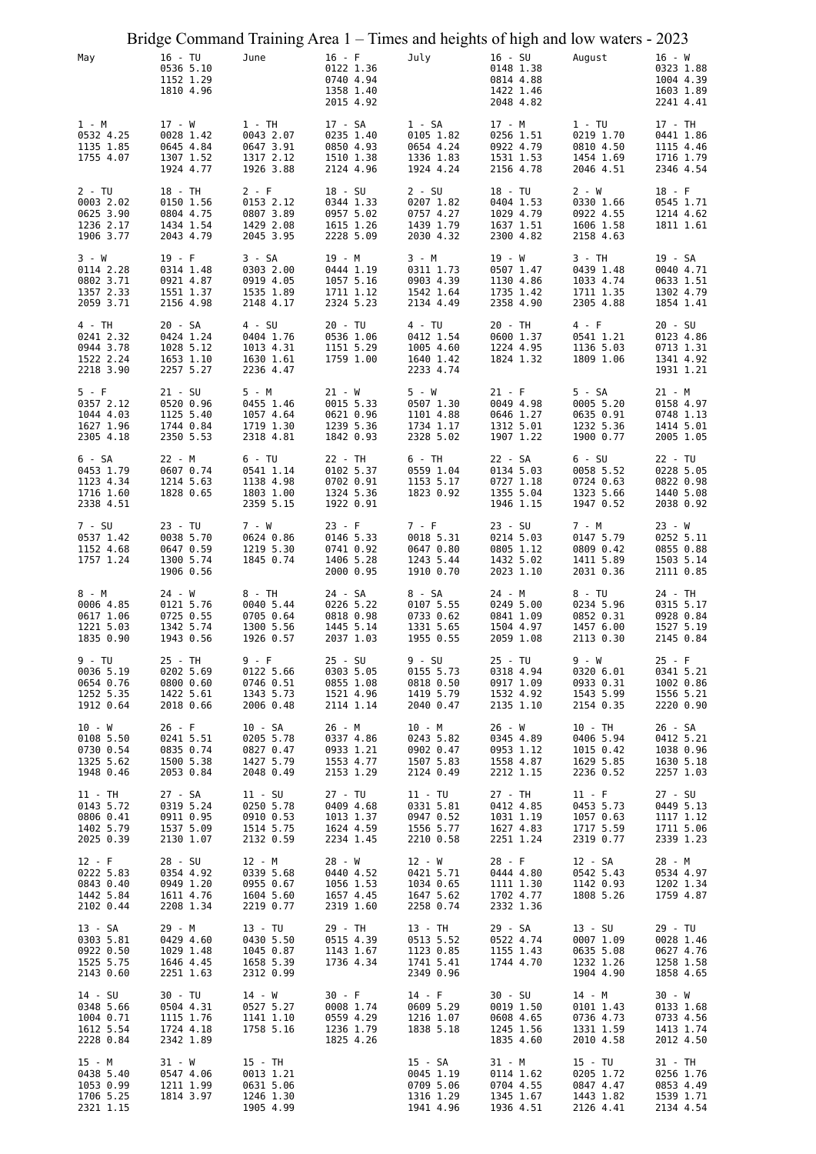|                                                               | Bridge Command Training Area 1 – Times and heights of high and low waters - 2023 |                                                               |                                                              |                                                  |                                                               |                                                               |                                                              |                                                               |
|---------------------------------------------------------------|----------------------------------------------------------------------------------|---------------------------------------------------------------|--------------------------------------------------------------|--------------------------------------------------|---------------------------------------------------------------|---------------------------------------------------------------|--------------------------------------------------------------|---------------------------------------------------------------|
| May                                                           | 16 - TU<br>0536 5.10<br>1152 1.29<br>1810 4.96                                   | June                                                          | $16 - F$<br>0122 1.36<br>0740 4.94<br>1358 1.40<br>2015 4.92 |                                                  | July                                                          | $16 - SU$<br>0148 1.38<br>0814 4.88<br>1422 1.46<br>2048 4.82 | August                                                       | $16 - W$<br>0323 1.88<br>1004 4.39<br>1603 1.89<br>2241 4.41  |
| 1 - M<br>0532 4.25<br>1135 1.85<br>1755 4.07                  | 17 - W<br>0028 1.42<br>0645 4.84<br>1307 1.52<br>1924 4.77                       | $1 - TH$<br>0043 2.07<br>0647 3.91<br>1317 2.12<br>1926 3.88  | 17 - SA                                                      | 0235 1.40<br>0850 4.93<br>1510 1.38<br>2124 4.96 | 1 - SA<br>0105 1.82<br>0654 4.24<br>1336 1.83<br>1924 4.24    | 17 - M<br>0256 1.51<br>0922 4.79<br>1531 1.53<br>2156 4.78    | $1 - TU$<br>0219 1.70<br>0810 4.50<br>1454 1.69<br>2046 4.51 | 17 - TH<br>0441 1.86<br>1115 4.46<br>1716 1.79<br>2346 4.54   |
| 2 - TU<br>0003 2.02<br>0625 3.90<br>1236 2.17<br>1906 3.77    | 18 - TH<br>0150 1.56<br>0804 4.75<br>1434 1.54<br>2043 4.79                      | $2 - F$<br>0153 2.12<br>0807 3.89<br>1429 2.08<br>2045 3.95   | 18 - SU                                                      | 0344 1.33<br>0957 5.02<br>1615 1.26<br>2228 5.09 | $2 - SU$<br>0207 1.82<br>0757 4.27<br>1439 1.79<br>2030 4.32  | 18 - TU<br>0404 1.53<br>1029 4.79<br>1637 1.51<br>2300 4.82   | 2 - W<br>0330 1.66<br>0922 4.55<br>1606 1.58<br>2158 4.63    | $18 - F$<br>0545 1.71<br>1214 4.62<br>1811 1.61               |
| 3 - W<br>0114 2.28<br>0802 3.71<br>1357 2.33<br>2059 3.71     | $19 - F$<br>0314 1.48<br>0921 4.87<br>1551 1.37<br>2156 4.98                     | 3 - SA<br>0303 2.00<br>0919 4.05<br>1535 1.89<br>2148 4.17    | 19 - M                                                       | 0444 1.19<br>1057 5.16<br>1711 1.12<br>2324 5.23 | 3 - M<br>0311 1.73<br>0903 4.39<br>1542 1.64<br>2134 4.49     | 19 - W<br>0507 1.47<br>1130 4.86<br>1735 1.42<br>2358 4.90    | $3 - TH$<br>0439 1.48<br>1033 4.74<br>1711 1.35<br>2305 4.88 | 19 - SA<br>0040 4.71<br>0633 1.51<br>1302 4.79<br>1854 1.41   |
| 4 - TH<br>0241 2.32<br>0944 3.78<br>1522 2.24<br>2218 3.90    | 20 - SA<br>0424 1.24<br>1028 5.12<br>1653 1.10<br>2257 5.27                      | $4 - SU$<br>0404 1.76<br>1013 4.31<br>1630 1.61<br>2236 4.47  | $20 - TU$                                                    | 0536 1.06<br>1151 5.29<br>1759 1.00              | 4 - TU<br>0412 1.54<br>1005 4.60<br>1640 1.42<br>2233 4.74    | 20 - TH<br>0600 1.37<br>1224 4.95<br>1824 1.32                | 4 - F<br>0541 1.21<br>1136 5.03<br>1809 1.06                 | $20 - SU$<br>0123 4.86<br>0713 1.31<br>1341 4.92<br>1931 1.21 |
| $5 - F$<br>0357 2.12<br>1044 4.03<br>1627 1.96<br>2305 4.18   | $21 - SU$<br>0520 0.96<br>1125 5.40<br>1744 0.84<br>2350 5.53                    | 5 - M<br>0455 1.46<br>1057 4.64<br>1719 1.30<br>2318 4.81     | 21 - W                                                       | 0015 5.33<br>0621 0.96<br>1239 5.36<br>1842 0.93 | 5 - W<br>0507 1.30<br>1101 4.88<br>1734 1.17<br>2328 5.02     | $21 - F$<br>0049 4.98<br>0646 1.27<br>1312 5.01<br>1907 1.22  | 5 - SA<br>0005 5.20<br>0635 0.91<br>1232 5.36<br>1900 0.77   | 21 - M<br>0158 4.97<br>0748 1.13<br>1414 5.01<br>2005 1.05    |
| 6 - SA<br>0453 1.79<br>1123 4.34<br>1716 1.60<br>2338 4.51    | 22 - M<br>0607 0.74<br>1214 5.63<br>1828 0.65                                    | $6 - TU$<br>0541 1.14<br>1138 4.98<br>1803 1.00<br>2359 5.15  | 22 - TH                                                      | 0102 5.37<br>0702 0.91<br>1324 5.36<br>1922 0.91 | 6 - TH<br>0559 1.04<br>1153 5.17<br>1823 0.92                 | 22 - SA<br>0134 5.03<br>0727 1.18<br>1355 5.04<br>1946 1.15   | $6 - SU$<br>0058 5.52<br>0724 0.63<br>1323 5.66<br>1947 0.52 | 22 - TU<br>0228 5.05<br>0822 0.98<br>1440 5.08<br>2038 0.92   |
| 7 - SU<br>0537 1.42<br>1152 4.68<br>1757 1.24                 | $23 - TU$<br>0038 5.70<br>0647 0.59<br>1300 5.74<br>1906 0.56                    | 7 - W<br>0624 0.86<br>1219 5.30<br>1845 0.74                  | $23 - F$                                                     | 0146 5.33<br>0741 0.92<br>1406 5.28<br>2000 0.95 | $7 - F$<br>0018 5.31<br>0647 0.80<br>1243 5.44<br>1910 0.70   | $23 - SU$<br>0214 5.03<br>0805 1.12<br>1432 5.02<br>2023 1.10 | 7 - M<br>0147 5.79<br>0809 0.42<br>1411 5.89<br>2031 0.36    | $23 - W$<br>0252 5.11<br>0855 0.88<br>1503 5.14<br>2111 0.85  |
| 8 - M<br>0006 4.85<br>0617 1.06<br>1221 5.03<br>1835 0.90     | 24 - W<br>0121 5.76<br>0725 0.55<br>1342 5.74<br>1943 0.56                       | 8 - TH<br>0040 5.44<br>0705 0.64<br>1300 5.56<br>1926 0.57    | 24 - SA                                                      | 0226 5.22<br>0818 0.98<br>1445 5.14<br>2037 1.03 | 8 - SA<br>0107 5.55<br>0733 0.62<br>1331 5.65<br>1955 0.55    | 24 - M<br>0249 5.00<br>0841 1.09<br>1504 4.97<br>2059 1.08    | $8 - TU$<br>0234 5.96<br>0852 0.31<br>1457 6.00<br>2113 0.30 | 24 - TH<br>0315 5.17<br>0928 0.84<br>1527 5.19<br>2145 0.84   |
| 9 - TU<br>0036 5.19<br>0654 0.76<br>1252 5.35<br>1912 0.64    | 25 - TH<br>0202 5.69<br>0800 0.60<br>1422 5.61<br>2018 0.66                      | $9-F$<br>0122 5.66<br>0746 0.51<br>1343 5.73<br>2006 0.48     | $25 - SU$                                                    | 0303 5.05<br>0855 1.08<br>1521 4.96<br>2114 1.14 | $9 - SU$<br>0155 5.73<br>0818 0.50<br>1419 5.79<br>2040 0.47  | 25 - TU<br>0318 4.94<br>0917 1.09<br>1532 4.92<br>2135 1.10   | $9 - W$<br>0320 6.01<br>0933 0.31<br>1543 5.99<br>2154 0.35  | $25 - F$<br>0341 5.21<br>1002 0.86<br>1556 5.21<br>2220 0.90  |
| 10 - W<br>0108 5.50<br>0730 0.54<br>1325 5.62<br>1948 0.46    | $26 - F$<br>0241 5.51<br>0835 0.74<br>1500 5.38<br>2053 0.84                     | $10 - SA$<br>0205 5.78<br>0827 0.47<br>1427 5.79<br>2048 0.49 | 26 - M                                                       | 0337 4.86<br>0933 1.21<br>1553 4.77<br>2153 1.29 | 10 - M<br>0243 5.82<br>0902 0.47<br>1507 5.83<br>2124 0.49    | 26 - W<br>0345 4.89<br>0953 1.12<br>1558 4.87<br>2212 1.15    | 10 - TH<br>0406 5.94<br>1015 0.42<br>1629 5.85<br>2236 0.52  | 26 - SA<br>0412 5.21<br>1038 0.96<br>1630 5.18<br>2257 1.03   |
| $11 - TH$<br>0143 5.72<br>0806 0.41<br>1402 5.79<br>2025 0.39 | 27 - SA<br>0319 5.24<br>0911 0.95<br>1537 5.09<br>2130 1.07                      | $11 - SU$<br>0250 5.78<br>0910 0.53<br>1514 5.75<br>2132 0.59 | $27 - TU$                                                    | 0409 4.68<br>1013 1.37<br>1624 4.59<br>2234 1.45 | $11 - TU$<br>0331 5.81<br>0947 0.52<br>1556 5.77<br>2210 0.58 | 27 - TH<br>0412 4.85<br>1031 1.19<br>1627 4.83<br>2251 1.24   | $11 - F$<br>0453 5.73<br>1057 0.63<br>1717 5.59<br>2319 0.77 | $27 - SU$<br>0449 5.13<br>1117 1.12<br>1711 5.06<br>2339 1.23 |
| $12 - F$<br>0222 5.83<br>0843 0.40<br>1442 5.84<br>2102 0.44  | 28 - SU<br>0354 4.92<br>0949 1.20<br>1611 4.76<br>2208 1.34                      | 12 - M<br>0339 5.68<br>0955 0.67<br>1604 5.60<br>2219 0.77    | 28 - W                                                       | 0440 4.52<br>1056 1.53<br>1657 4.45<br>2319 1.60 | 12 - W<br>0421 5.71<br>1034 0.65<br>1647 5.62<br>2258 0.74    | $28 - F$<br>0444 4.80<br>1111 1.30<br>1702 4.77<br>2332 1.36  | 12 - SA<br>0542 5.43<br>1142 0.93<br>1808 5.26               | 28 - M<br>0534 4.97<br>1202 1.34<br>1759 4.87                 |
| 13 - SA<br>0303 5.81<br>0922 0.50<br>1525 5.75<br>2143 0.60   | 29 - M<br>0429 4.60<br>1029 1.48<br>1646 4.45<br>2251 1.63                       | $13 - TU$<br>0430 5.50<br>1045 0.87<br>1658 5.39<br>2312 0.99 | 29 - TH                                                      | 0515 4.39<br>1143 1.67<br>1736 4.34              | 13 - TH<br>0513 5.52<br>1123 0.85<br>1741 5.41<br>2349 0.96   | 29 - SA<br>0522 4.74<br>1155 1.43<br>1744 4.70                | 13 - SU<br>0007 1.09<br>0635 5.08<br>1232 1.26<br>1904 4.90  | 29 - TU<br>0028 1.46<br>0627 4.76<br>1258 1.58<br>1858 4.65   |
| 14 - SU<br>0348 5.66<br>1004 0.71<br>1612 5.54<br>2228 0.84   | 30 - TU<br>0504 4.31<br>1115 1.76<br>1724 4.18<br>2342 1.89                      | 14 - W<br>0527 5.27<br>1141 1.10<br>1758 5.16                 | $30 - F$                                                     | 0008 1.74<br>0559 4.29<br>1236 1.79<br>1825 4.26 | $14 - F$<br>0609 5.29<br>1216 1.07<br>1838 5.18               | 30 - SU<br>0019 1.50<br>0608 4.65<br>1245 1.56<br>1835 4.60   | 14 - M<br>0101 1.43<br>0736 4.73<br>1331 1.59<br>2010 4.58   | 30 - W<br>0133 1.68<br>0733 4.56<br>1413 1.74<br>2012 4.50    |
| 15 - M<br>0438 5.40<br>1053 0.99<br>1706 5.25<br>2321 1.15    | 31 - W<br>0547 4.06<br>1211 1.99<br>1814 3.97                                    | 15 - TH<br>0013 1.21<br>0631 5.06<br>1246 1.30<br>1905 4.99   |                                                              |                                                  | 15 - SA<br>0045 1.19<br>0709 5.06<br>1316 1.29<br>1941 4.96   | 31 - M<br>0114 1.62<br>0704 4.55<br>1345 1.67<br>1936 4.51    | 15 - TU<br>0205 1.72<br>0847 4.47<br>1443 1.82<br>2126 4.41  | 31 - TH<br>0256 1.76<br>0853 4.49<br>1539 1.71<br>2134 4.54   |